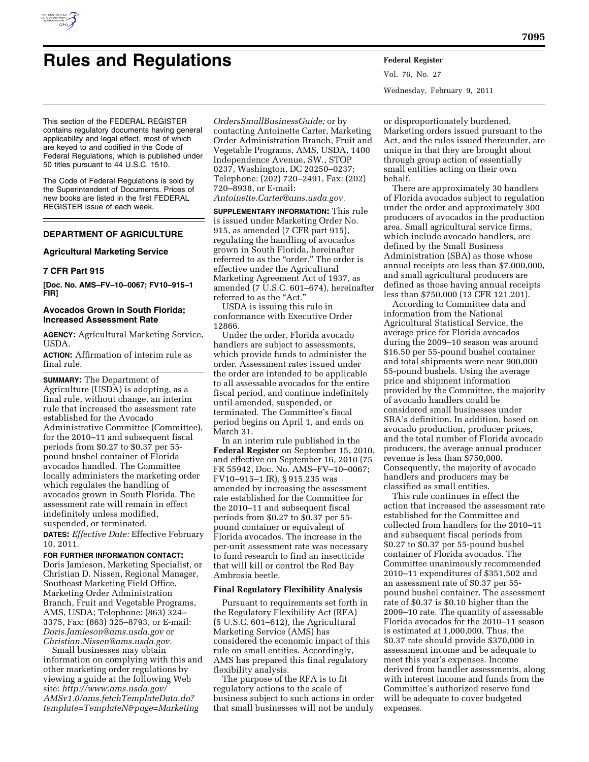

# **Rules and Regulations Federal Register**

This section of the FEDERAL REGISTER contains regulatory documents having general applicability and legal effect, most of which are keyed to and codified in the Code of Federal Regulations, which is published under 50 titles pursuant to 44 U.S.C. 1510.

The Code of Federal Regulations is sold by the Superintendent of Documents. Prices of new books are listed in the first FEDERAL REGISTER issue of each week.

# **DEPARTMENT OF AGRICULTURE**

## **Agricultural Marketing Service**

# **7 CFR Part 915**

**[Doc. No. AMS–FV–10–0067; FV10–915–1 FIR]** 

# **Avocados Grown in South Florida; Increased Assessment Rate**

**AGENCY:** Agricultural Marketing Service, USDA.

**ACTION:** Affirmation of interim rule as final rule.

**SUMMARY:** The Department of Agriculture (USDA) is adopting, as a final rule, without change, an interim rule that increased the assessment rate established for the Avocado Administrative Committee (Committee), for the 2010–11 and subsequent fiscal periods from \$0.27 to \$0.37 per 55 pound bushel container of Florida avocados handled. The Committee locally administers the marketing order which regulates the handling of avocados grown in South Florida. The assessment rate will remain in effect indefinitely unless modified, suspended, or terminated.

**DATES:** *Effective Date:* Effective February 10, 2011.

**FOR FURTHER INFORMATION CONTACT:**  Doris Jamieson, Marketing Specialist, or Christian D. Nissen, Regional Manager, Southeast Marketing Field Office, Marketing Order Administration Branch, Fruit and Vegetable Programs, AMS, USDA; Telephone: (863) 324– 3375, Fax: (863) 325–8793, or E-mail: *[Doris.Jamieson@ams.usda.gov](mailto:Doris.Jamieson@ams.usda.gov)* or *[Christian.Nissen@ams.usda.gov.](mailto:Christian.Nissen@ams.usda.gov)* 

Small businesses may obtain information on complying with this and other marketing order regulations by viewing a guide at the following Web site: *[http://www.ams.usda.gov/](http://www.ams.usda.gov/AMSv1.0/ams.fetchTemplateData.do?template=TemplateN&page=MarketingOrdersSmallBusinessGuide) [AMSv1.0/ams.fetchTemplateData.do?](http://www.ams.usda.gov/AMSv1.0/ams.fetchTemplateData.do?template=TemplateN&page=MarketingOrdersSmallBusinessGuide) [template=TemplateN&page=Marketing](http://www.ams.usda.gov/AMSv1.0/ams.fetchTemplateData.do?template=TemplateN&page=MarketingOrdersSmallBusinessGuide)*

*[OrdersSmallBusinessGuide;](http://www.ams.usda.gov/AMSv1.0/ams.fetchTemplateData.do?template=TemplateN&page=MarketingOrdersSmallBusinessGuide)* or by contacting Antoinette Carter, Marketing Order Administration Branch, Fruit and Vegetable Programs, AMS, USDA, 1400 Independence Avenue, SW., STOP 0237, Washington, DC 20250–0237; Telephone: (202) 720–2491, Fax: (202) 720–8938, or E-mail:

*[Antoinette.Carter@ams.usda.gov.](mailto:Antoinette.Carter@ams.usda.gov)* 

**SUPPLEMENTARY INFORMATION:** This rule is issued under Marketing Order No. 915, as amended (7 CFR part 915), regulating the handling of avocados grown in South Florida, hereinafter referred to as the "order." The order is effective under the Agricultural Marketing Agreement Act of 1937, as amended (7 U.S.C. 601–674), hereinafter referred to as the "Act."

USDA is issuing this rule in conformance with Executive Order 12866.

Under the order, Florida avocado handlers are subject to assessments, which provide funds to administer the order. Assessment rates issued under the order are intended to be applicable to all assessable avocados for the entire fiscal period, and continue indefinitely until amended, suspended, or terminated. The Committee's fiscal period begins on April 1, and ends on March 31.

In an interim rule published in the **Federal Register** on September 15, 2010, and effective on September 16, 2010 (75 FR 55942, Doc. No. AMS–FV–10–0067; FV10–915–1 IR), § 915.235 was amended by increasing the assessment rate established for the Committee for the 2010–11 and subsequent fiscal periods from \$0.27 to \$0.37 per 55 pound container or equivalent of Florida avocados. The increase in the per-unit assessment rate was necessary to fund research to find an insecticide that will kill or control the Red Bay Ambrosia beetle.

### **Final Regulatory Flexibility Analysis**

Pursuant to requirements set forth in the Regulatory Flexibility Act (RFA) (5 U.S.C. 601–612), the Agricultural Marketing Service (AMS) has considered the economic impact of this rule on small entities. Accordingly, AMS has prepared this final regulatory flexibility analysis.

The purpose of the RFA is to fit regulatory actions to the scale of business subject to such actions in order that small businesses will not be unduly Vol. 76, No. 27 Wednesday, February 9, 2011

or disproportionately burdened. Marketing orders issued pursuant to the Act, and the rules issued thereunder, are unique in that they are brought about through group action of essentially small entities acting on their own behalf.

There are approximately 30 handlers of Florida avocados subject to regulation under the order and approximately 300 producers of avocados in the production area. Small agricultural service firms, which include avocado handlers, are defined by the Small Business Administration (SBA) as those whose annual receipts are less than \$7,000,000, and small agricultural producers are defined as those having annual receipts less than \$750,000 (13 CFR 121.201).

According to Committee data and information from the National Agricultural Statistical Service, the average price for Florida avocados during the 2009–10 season was around \$16.50 per 55-pound bushel container and total shipments were near 900,000 55-pound bushels. Using the average price and shipment information provided by the Committee, the majority of avocado handlers could be considered small businesses under SBA's definition. In addition, based on avocado production, producer prices, and the total number of Florida avocado producers, the average annual producer revenue is less than \$750,000. Consequently, the majority of avocado handlers and producers may be classified as small entities.

This rule continues in effect the action that increased the assessment rate established for the Committee and collected from handlers for the 2010–11 and subsequent fiscal periods from \$0.27 to \$0.37 per 55-pound bushel container of Florida avocados. The Committee unanimously recommended 2010–11 expenditures of \$351,502 and an assessment rate of \$0.37 per 55 pound bushel container. The assessment rate of \$0.37 is \$0.10 higher than the 2009–10 rate. The quantity of assessable Florida avocados for the 2010–11 season is estimated at 1,000,000. Thus, the \$0.37 rate should provide \$370,000 in assessment income and be adequate to meet this year's expenses. Income derived from handler assessments, along with interest income and funds from the Committee's authorized reserve fund will be adequate to cover budgeted expenses.